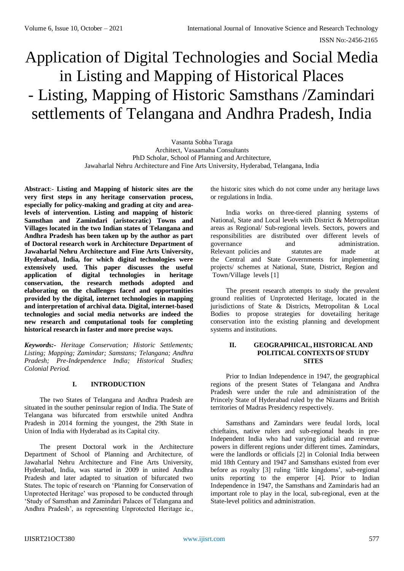# Application of Digital Technologies and Social Media in Listing and Mapping of Historical Places - Listing, Mapping of Historic Samsthans /Zamindari settlements of Telangana and Andhra Pradesh, India

Vasanta Sobha Turaga Architect, Vasaamaha Consultants PhD Scholar, School of Planning and Architecture, Jawaharlal Nehru Architecture and Fine Arts University, Hyderabad, Telangana, India

**Abstract**:- **Listing and Mapping of historic sites are the very first steps in any heritage conservation process, especially for policy-making and grading at city and arealevels of intervention. Listing and mapping of historic Samsthan and Zamindari (aristocratic) Towns and Villages located in the two Indian states of Telangana and Andhra Pradesh has been taken up by the author as part of Doctoral research work in Architecture Department of Jawaharlal Nehru Architecture and Fine Arts University, Hyderabad, India, for which digital technologies were extensively used. This paper discusses the useful application of digital technologies in heritage conservation, the research methods adopted and elaborating on the challenges faced and opportunities provided by the digital, internet technologies in mapping and interpretation of archival data. Digital, internet-based technologies and social media networks are indeed the new research and computational tools for completing historical research in faster and more precise ways.**

*Keywords:- Heritage Conservation; Historic Settlements; Listing; Mapping; Zamindar; Samstans; Telangana; Andhra Pradesh; Pre-Independence India; Historical Studies; Colonial Period.*

# **I. INTRODUCTION**

The two States of Telangana and Andhra Pradesh are situated in the souther peninsular region of India. The State of Telangana was bifurcated from erstwhile united Andhra Pradesh in 2014 forming the youngest, the 29th State in Union of India with Hyderabad as its Capital city.

The present Doctoral work in the Architecture Department of School of Planning and Architecture, of Jawaharlal Nehru Architecture and Fine Arts University, Hyderabad, India, was started in 2009 in united Andhra Pradesh and later adapted to situation of bifurcated two States. The topic of research on 'Planning for Conservation of Unprotected Heritage' was proposed to be conducted through 'Study of Samsthan and Zamindari Palaces of Telangana and Andhra Pradesh', as representing Unprotected Heritage ie.,

the historic sites which do not come under any heritage laws or regulations in India.

India works on three-tiered planning systems of National, State and Local levels with District & Metropolitan areas as Regional/ Sub-regional levels. Sectors, powers and responsibilities are distributed over different levels of governance and administration. Relevant policies and statutes are made at the Central and State Governments for implementing projects/ schemes at National, State, District, Region and Town/Village levels [1]

The present research attempts to study the prevalent ground realities of Unprotected Heritage, located in the jurisdictions of State & Districts, Metropolitan & Local Bodies to propose strategies for dovetailing heritage conservation into the existing planning and development systems and institutions.

#### **II. GEOGRAPHICAL, HISTORICAL AND POLITICAL CONTEXTS OF STUDY SITES**

Prior to Indian Independence in 1947, the geographical regions of the present States of Telangana and Andhra Pradesh were under the rule and administration of the Princely State of Hyderabad ruled by the Nizams and British territories of Madras Presidency respectively.

Samsthans and Zamindars were feudal lords, local chieftains, native rulers and sub-regional heads in pre-Independent India who had varying judicial and revenue powers in different regions under different times. Zamindars, were the landlords or officials [2] in Colonial India between mid 18th Century and 1947 and Samsthans existed from ever before as royalty [3] ruling 'little kingdoms', sub-regional units reporting to the emperor [4]. Prior to Indian Independence in 1947, the Samsthans and Zamindaris had an important role to play in the local, sub-regional, even at the State-level politics and administration.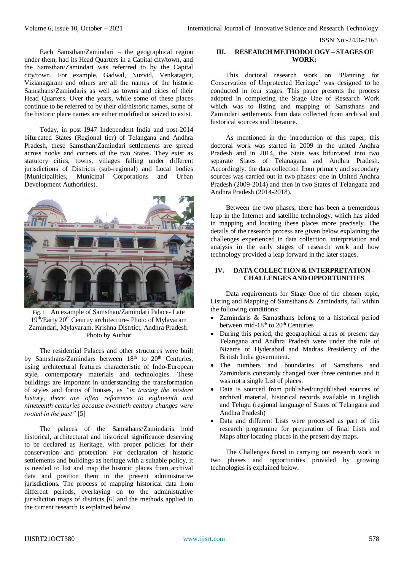ISSN No:-2456-2165

Each Samsthan/Zamindari – the geographical region under them, had its Head Quarters in a Capital city/town, and the Samsthan/Zamindari was referrred to by the Capital city/town. For example, Gadwal, Nuzvid, Venkatagiri, Vizianagaram and others are all the names of the historic Samsthans/Zamindaris as well as towns and cities of their Head Quarters. Over the years, while some of these places continue to be referred to by their old/historic names, some of the historic place names are either modified or seized to exist.

Today, in post-1947 Independent India and post-2014 bifurcated States (Regional tier) of Telangana and Andhra Pradesh, these Samsthan/Zamindari settlements are spread across nooks and corners of the two States. They exist as statutory cities, towns, villages falling under different jurisdictions of Districts (sub-regional) and Local bodies (Municipalities, Municipal Corporations and Urban Development Authorities).



Fig. 1. An example of Samsthan/Zamindari Palace- Late 19th/Earty 20th Centruy architecture- Photo of Mylavaram Zamindari, Mylavaram, Krishna Distrtict, Andhra Pradesh. Photo by Author

The residential Palaces and other structures were built by Samsthans/Zamindars between  $18<sup>th</sup>$  to  $20<sup>th</sup>$  Centuries, using architectural features characteristic of Indo-European style, contemporary materials and technologies. These buildings are important in understanding the transformation of styles and forms of houses, as *"in tracing the modern history, there are often references to eighteenth and nineteenth centuries because twentieth century changes were rooted in the past"* [5]

The palaces of the Samsthans/Zamindaris hold historical, architectural and historical significance deserving to be declared as Heritage, with proper policies for their conservation and protection. For declaration of historic settlements and buildings as heritage with a suitable policy, it is needed to list and map the historic places from archival data and position them in the present administrative jurisdictions. The process of mapping historical data from different periods, overlaying on to the administrative jurisdiction maps of districts [6] and the methods applied in the current research is explained below.

# **III. RESEARCH METHODOLOGY – STAGES OF WORK:**

This doctoral research work on 'Planning for Conservation of Unprotected Heritage' was designed to be conducted in four stages. This paper presents the process adopted in completing the Stage One of Research Work which was to listing and mapping of Samsthans and Zamindari settlements from data collected from archival and historical sources and literature.

As mentioned in the introduction of this paper, this doctoral work was started in 2009 in the united Andhra Pradesh and in 2014, the State was bifurcated into two separate States of Telanagana and Andhra Pradesh. Accordingly, the data collection from primary and secondary sources was carried out in two phases: one in United Andhra Pradesh (2009-2014) and then in two States of Telangana and Andhra Pradesh (2014-2018).

Between the two phases, there has been a tremendous leap in the Internet and satellite technology, which has aided in mapping and locating these places more precisely. The details of the research process are given below explaining the challenges experienced in data collection, interpretation and analysis in the early stages of research work and how technology provided a leap forward in the later stages.

### **IV. DATA COLLECTION & INTERPRETATION – CHALLENGES AND OPPORTUNITIES**

Data requirements for Stage One of the chosen topic, Listing and Mapping of Samsthans & Zamindaris, fall within the following conditions:

- Zamindaris & Samasthans belong to a historical period between mid-18<sup>th</sup> to  $20<sup>th</sup>$  Centuries
- During this period, the geographical areas of present day Telangana and Andhra Pradesh were under the rule of Nizams of Hyderabad and Madras Presidency of the British India government.
- The numbers and boundaries of Samsthans and Zamindaris constantly changed over three centuries and it was not a single List of places.
- Data is sourced from published/unpublished sources of archival material, historical records available in English and Telugu (regional language of States of Telangana and Andhra Pradesh)
- Data and different Lists were processed as part of this research programme for preparation of final Lists and Maps after locating places in the present day maps.

The Challenges faced in carrying out research work in two phases and opportunities provided by growing technologies is explained below: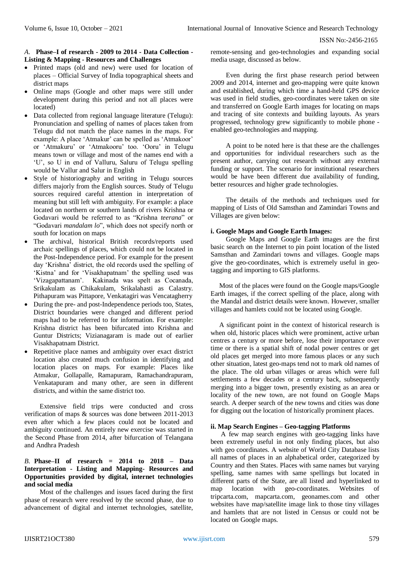#### *A.* **Phase–I of research - 2009 to 2014 - Data Collection - Listing & Mapping - Resources and Challenges**

- Printed maps (old and new) were used for location of places – Official Survey of India topographical sheets and district maps
- Online maps (Google and other maps were still under development during this period and not all places were located)
- Data collected from regional language literature (Telugu): Pronunciation and spelling of names of places taken from Telugu did not match the place names in the maps. For example: A place 'Atmakur' can be spelled as 'Atmakoor' or 'Atmakuru' or 'Atmakooru' too. 'Ooru' in Telugu means town or village and most of the names end with a 'U', so U in end of Valluru, Saluru of Telugu spelling would be Vallur and Salur in English
- Style of historiography and writing in Telugu sources differs majorly from the English sources. Study of Telugu sources required careful attention in interpretation of meaning but still left with ambiguity. For example: a place located on northern or southern lands of rivers Krishna or Godavari would be referred to as "Krishna *teerana*" or "Godavari *mandalam lo*", which does not specify north or south for location on maps
- The archival, historical British records/reports used archaic spellings of places, which could not be located in the Post-Independence period. For example for the present day 'Krishna' district, the old records used the spelling of 'Kistna' and for 'Visakhapatnam' the spelling used was 'Vizagapattanam'. Kakinada was spelt as Cocanada, Srikakulam as Chikakulam, Srikalahasti as Calastry. Pithapuram was Pittapore, Venkatagiri was Vencatagherry
- During the pre- and post-Independence periods too, States, District boundaries were changed and different period maps had to be referred to for information. For example: Krishna district has been bifurcated into Krishna and Guntur Districts; Vizianagaram is made out of earlier Visakhapatnam District.
- Repetitive place names and ambiguity over exact district location also created much confusion in identifying and location places on maps. For example: Places like Atmakur, Gollapalle, Ramapuram, Ramachandrapuram, Venkatapuram and many other, are seen in different districts, and within the same district too.

Extensive field trips were conducted and cross verification of maps & sources was done between 2011-2013 even after which a few places could not be located and ambiguity continued. An entirely new exercise was started in the Second Phase from 2014, after bifurcation of Telangana and Andhra Pradesh

# *B.* **Phase–II of research = 2014 to 2018 – Data Interpretation - Listing and Mapping- Resources and Opportunities provided by digital, internet technologies and social media**

Most of the challenges and issues faced during the first phase of research were resolved by the second phase, due to advancement of digital and internet technologies, satellite,

remote-sensing and geo-technologies and expanding social media usage, discussed as below.

Even during the first phase research period between 2009 and 2014, internet and geo-mapping were quite known and established, during which time a hand-held GPS device was used in field studies, geo-coordinates were taken on site and transferred on Google Earth images for locating on maps and tracing of site contexts and building layouts. As years progressed, technology grew significantly to mobile phone enabled geo-technologies and mapping.

A point to be noted here is that these are the challenges and opportunities for individual researchers such as the present author, carrying out research without any external funding or support. The scenario for institutional researchers would be have been different due availability of funding, better resources and higher grade technologies.

The details of the methods and techniques used for mapping of Lists of Old Samsthan and Zamindari Towns and Villages are given below:

# **i. Google Maps and Google Earth Images:**

Google Maps and Google Earth images are the first basic search on the Internet to pin point location of the listed Samsthan and Zamindari towns and villages. Google maps give the geo-coordinates, which is extremely useful in geotagging and importing to GIS platforms.

 Most of the places were found on the Google maps/Google Earth images, if the correct spelling of the place, along with the Mandal and district details were known. However, smaller villages and hamlets could not be located using Google.

 A significant point in the context of historical research is when old, historic places which were prominent, active urban centres a century or more before, lose their importance over time or there is a spatial shift of nodal power centres or get old places get merged into more famous places or any such other situation, latest geo-maps tend not to mark old names of the place. The old urban villages or areas which were full settlements a few decades or a century back, subsequently merging into a bigger town, presently existing as an area or locality of the new town, are not found on Google Maps search. A deeper search of the new towns and cities was done for digging out the location of historically prominent places.

# **ii. Map Search Engines – Geo-tagging Platforms**

 A few map search engines with geo-tagging links have been extremely useful in not only finding places, but also with geo coordinates. A website of World City Database lists all names of places in an alphabetical order, categorized by Country and then States. Places with same names but varying spelling, same names with same spellings but located in different parts of the State, are all listed and hyperlinked to map location with geo-coordinates. Websites of tripcarta.com, mapcarta.com, geonames.com and other websites have map/satellite image link to those tiny villages and hamlets that are not listed in Census or could not be located on Google maps.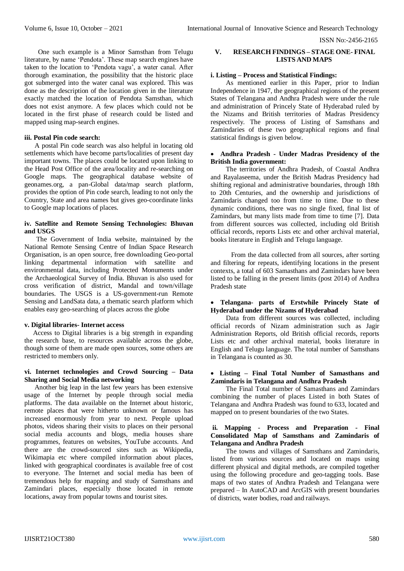ISSN No:-2456-2165

 One such example is a Minor Samsthan from Telugu literature, by name 'Pendota'. These map search engines have taken to the location to 'Pendota vagu', a water canal. After thorough examination, the possibility that the historic place got submerged into the water canal was explored. This was done as the description of the location given in the literature exactly matched the location of Pendota Samsthan, which does not exist anymore. A few places which could not be located in the first phase of research could be listed and mapped using map-search engines.

#### **iii. Postal Pin code search:**

 A postal Pin code search was also helpful in locating old settlements which have become parts/localities of present day important towns. The places could be located upon linking to the Head Post Office of the area/locality and re-searching on Google maps. The geographical database website of geonames.org, a pan-Global data/map search platform, provides the option of Pin code search, leading to not only the Country, State and area names but gives geo-coordinate links to Google map locations of places.

#### **iv. Satellite and Remote Sensing Technologies: Bhuvan and USGS**

 The Government of India website, maintained by the National Remote Sensing Centre of Indian Space Research Organisation, is an open source, free downloading Geo-portal linking departmental information with satellite and environmental data, including Protected Monuments under the Archaeological Survey of India. Bhuvan is also used for cross verification of district, Mandal and town/village boundaries. The USGS is a US-government-run Remote Sensing and LandSata data, a thematic search platform which enables easy geo-searching of places across the globe

#### **v. Digital libraries- Internet access**

 Access to Digital libraries is a big strength in expanding the research base, to resources available across the globe, though some of them are made open sources, some others are restricted to members only.

#### **vi. Internet technologies and Crowd Sourcing – Data Sharing and Social Media networking**

 Another big leap in the last few years has been extensive usage of the Internet by people through social media platforms. The data available on the Internet about historic, remote places that were hitherto unknown or famous has increased enormously from year to next. People upload photos, videos sharing their visits to places on their personal social media accounts and blogs, media houses share programmes, features on websites, YouTube accounts. And there are the crowd-sourced sites such as Wikipedia, Wikimapia etc where compiled information about places, linked with geographical coordinates is available free of cost to everyone. The Internet and social media has been of tremendous help for mapping and study of Samsthans and Zamindari places, especially those located in remote locations, away from popular towns and tourist sites.

# **V. RESEARCH FINDINGS – STAGE ONE- FINAL LISTS AND MAPS**

#### **i. Listing – Process and Statistical Findings:**

As mentioned earlier in this Paper, prior to Indian Independence in 1947, the geographical regions of the present States of Telangana and Andhra Pradesh were under the rule and administration of Princely State of Hyderabad ruled by the Nizams and British territories of Madras Presidency respectively. The process of Listing of Samsthans and Zamindaries of these two geographical regions and final statistical findings is given below.

#### **Andhra Pradesh - Under Madras Presidency of the British India government:**

The territories of Andhra Pradesh, of Coastal Andhra and Rayalaseema, under the British Madras Presidency had shifting regional and administrative boundaries, through 18th to 20th Centuries, and the ownership and jurisdictions of Zamindaris changed too from time to time. Due to these dynamic conditions, there was no single fixed, final list of Zamindars, but many lists made from time to time [7]. Data from different sources was collected, including old British official records, reports Lists etc and other archival material, books literature in English and Telugu language.

 From the data collected from all sources, after sorting and filtering for repeats, identifying locations in the present contexts, a total of 603 Samasthans and Zamindars have been listed to be falling in the present limits (post 2014) of Andhra Pradesh state

#### **Telangana- parts of Erstwhile Princely State of Hyderabad under the Nizams of Hyderabad**

Data from different sources was collected, including official records of Nizam administration such as Jagir Administration Reports, old British official records, reports Lists etc and other archival material, books literature in English and Telugu language. The total number of Samsthans in Telangana is counted as 30.

# **Listing – Final Total Number of Samasthans and Zamindaris in Telangana and Andhra Pradesh**

The Final Total number of Samasthans and Zamindars combining the number of places Listed in both States of Telangana and Andhra Pradesh was found to 633, located and mapped on to present boundaries of the two States.

## **ii. Mapping - Process and Preparation - Final Consolidated Map of Samsthans and Zamindaris of Telangana and Andhra Pradesh**

The towns and villages of Samsthans and Zamindaris, listed from various sources and located on maps using different physical and digital methods, are compiled together using the following procedure and geo-tagging tools. Base maps of two states of Andhra Pradesh and Telangana were prepared – In AutoCAD and ArcGIS with present boundaries of districts, water bodies, road and railways.